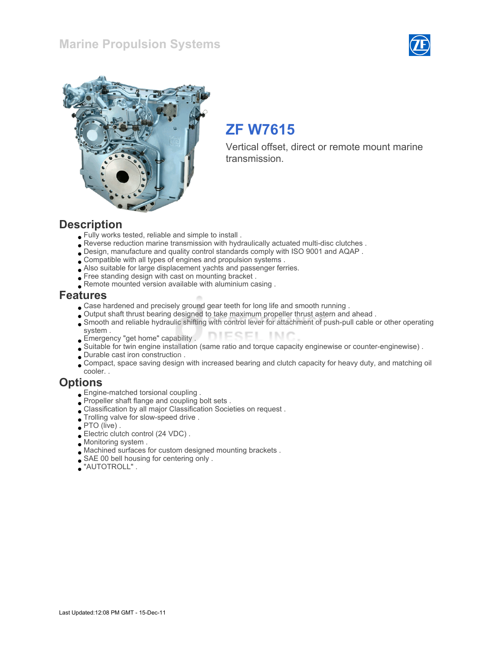### Marine Propulsion Systems





# ZF W7615

Vertical offset, direct or remote mount marine transmission.

#### **Description**

- Fully works tested, reliable and simple to install .
- Reverse reduction marine transmission with hydraulically actuated multi-disc clutches .
- Design, manufacture and quality control standards comply with ISO 9001 and AQAP .
- Compatible with all types of engines and propulsion systems .
- Also suitable for large displacement yachts and passenger ferries.
- Free standing design with cast on mounting bracket.
- Remote mounted version available with aluminium casing .

#### Features

- Case hardened and precisely ground gear teeth for long life and smooth running .
- Output shaft thrust bearing designed to take maximum propeller thrust astern and ahead .
- Smooth and reliable hydraulic shifting with control lever for attachment of push-pull cable or other operating
- system . DIESEL INC Emergency "get home" capability .
- Suitable for twin engine installation (same ratio and torque capacity enginewise or counter-enginewise) .
- Durable cast iron construction .
- Compact, space saving design with increased bearing and clutch capacity for heavy duty, and matching oil cooler. .

#### **Options**

- Engine-matched torsional coupling .
- Propeller shaft flange and coupling bolt sets .
- Classification by all major Classification Societies on request .
- Trolling valve for slow-speed drive .
- PTO (live) .
- Electric clutch control (24 VDC) .
- Monitoring system .
- Machined surfaces for custom designed mounting brackets .
- SAE 00 bell housing for centering only .
- "AUTOTROLL" .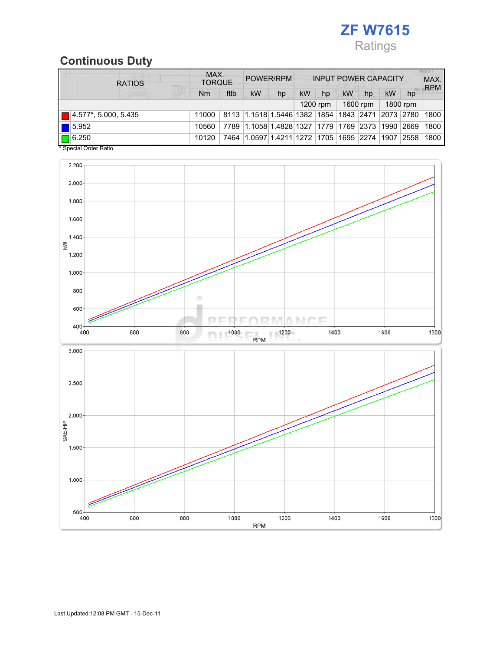

## Continuous Duty

| <b>RATIOS</b>               | MAX.<br><b>TORQUE</b> |      | POWER/RPM                                        |    | <b>INPUT POWER CAPACITY</b> |          |    |          |           | <b>MILLY T</b><br>MAX.<br><b>RPM</b> |      |
|-----------------------------|-----------------------|------|--------------------------------------------------|----|-----------------------------|----------|----|----------|-----------|--------------------------------------|------|
|                             | Nm                    | ftlb | <b>kW</b>                                        | hp | <b>kW</b>                   | hp       | kW | hp       | <b>kW</b> | hp                                   |      |
|                             |                       |      |                                                  |    |                             | 1200 rpm |    | 1600 rpm |           | 1800 rpm                             |      |
| $\Box$ 4.577*, 5.000, 5.435 | 11000                 |      | 8113 1.1518 1.5446 1382 1854 1843 2471 2073 2780 |    |                             |          |    |          |           |                                      | 1800 |
| $\vert$ $\vert$ 5.952       | 10560                 | 7789 | 1.1058 1.4828 1327 1779 1769 2373 1990 2669      |    |                             |          |    |          |           |                                      | 1800 |
| $\Box$ 6.250                | 10120                 | 7464 | 1.0597 1.4211 1272  1705  1695  2274  1907       |    |                             |          |    |          |           | 2558                                 | 1800 |

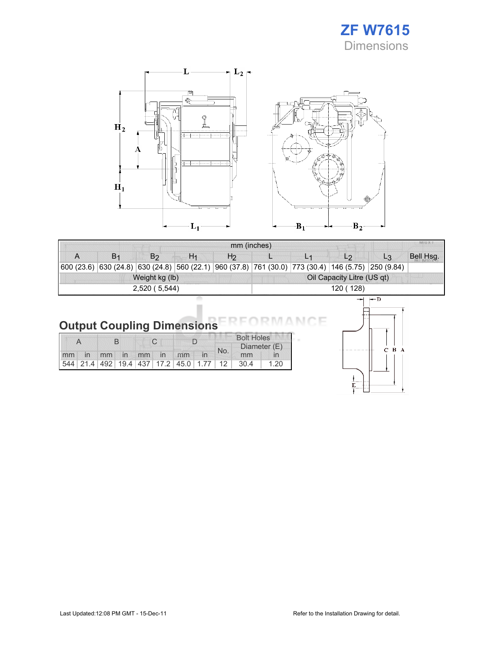



| mm (inches) |    |                                                                                                    |    |    |                            |  |                |       |           |  |  |  |
|-------------|----|----------------------------------------------------------------------------------------------------|----|----|----------------------------|--|----------------|-------|-----------|--|--|--|
| A           | B٠ | B <sub>2</sub>                                                                                     | H1 | H2 |                            |  | L <sub>2</sub> | L3    | Bell Hsg. |  |  |  |
|             |    | 600 (23.6) 630 (24.8) 630 (24.8) 560 (22.1) 960 (37.8) 761 (30.0) 773 (30.4) 146 (5.75) 250 (9.84) |    |    |                            |  |                |       |           |  |  |  |
|             |    | Weight kg (lb)                                                                                     |    |    | Oil Capacity Litre (US qt) |  |                |       |           |  |  |  |
|             |    | 2,520 (5,544)                                                                                      |    |    | 120 (128)                  |  |                |       |           |  |  |  |
|             |    |                                                                                                    |    |    |                            |  | است            | $-$ n |           |  |  |  |

#### Output Coupling Dimensions E

|  |  |  |  |  |                      |  | <b>Bolt Holes</b> |     |                                              |      |
|--|--|--|--|--|----------------------|--|-------------------|-----|----------------------------------------------|------|
|  |  |  |  |  |                      |  |                   | No. | Diameter (E)                                 |      |
|  |  |  |  |  | mm in mm in mm in mm |  |                   |     | mm                                           |      |
|  |  |  |  |  |                      |  |                   |     | 544 21.4 492 19.4 437 17.2 45.0 1.77 12 30.4 | 1.20 |